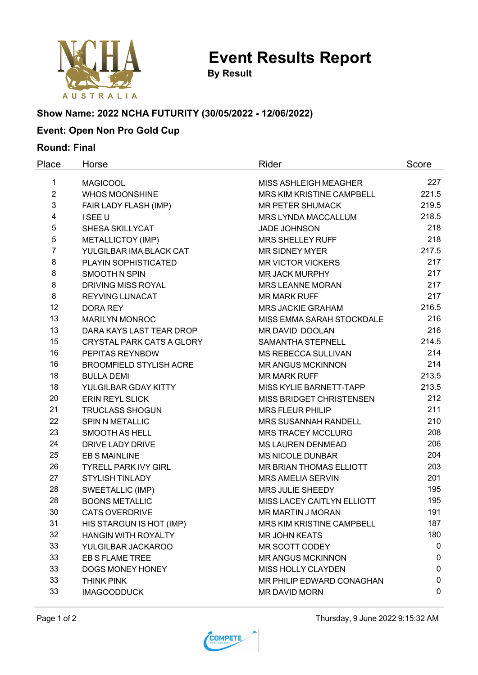

**Event Results Report**

**By Result**

# **Show Name: 2022 NCHA FUTURITY (30/05/2022 - 12/06/2022)**

## **Event: Open Non Pro Gold Cup**

### **Round: Final**

| Place          | Horse                            | Rider                        | Score |
|----------------|----------------------------------|------------------------------|-------|
| 1              | <b>MAGICOOL</b>                  | <b>MISS ASHLEIGH MEAGHER</b> | 227   |
| $\overline{2}$ | <b>WHOS MOONSHINE</b>            | MRS KIM KRISTINE CAMPBELL    | 221.5 |
| 3              | FAIR LADY FLASH (IMP)            | <b>MR PETER SHUMACK</b>      | 219.5 |
| 4              | I SEE U                          | MRS LYNDA MACCALLUM          | 218.5 |
| 5              | SHESA SKILLYCAT                  | <b>JADE JOHNSON</b>          | 218   |
| 5              | METALLICTOY (IMP)                | <b>MRS SHELLEY RUFF</b>      | 218   |
| $\overline{7}$ | YULGILBAR IMA BLACK CAT          | <b>MR SIDNEY MYER</b>        | 217.5 |
| 8              | PLAYIN SOPHISTICATED             | <b>MR VICTOR VICKERS</b>     | 217   |
| 8              | <b>SMOOTH N SPIN</b>             | <b>MR JACK MURPHY</b>        | 217   |
| 8              | <b>DRIVING MISS ROYAL</b>        | <b>MRS LEANNE MORAN</b>      | 217   |
| 8              | REYVING LUNACAT                  | <b>MR MARK RUFF</b>          | 217   |
| 12             | <b>DORA REY</b>                  | <b>MRS JACKIE GRAHAM</b>     | 216.5 |
| 13             | <b>MARILYN MONROC</b>            | MISS EMMA SARAH STOCKDALE    | 216   |
| 13             | DARA KAYS LAST TEAR DROP         | MR DAVID DOOLAN              | 216   |
| 15             | <b>CRYSTAL PARK CATS A GLORY</b> | <b>SAMANTHA STEPNELL</b>     | 214.5 |
| 16             | PEPITAS REYNBOW                  | <b>MS REBECCA SULLIVAN</b>   | 214   |
| 16             | <b>BROOMFIELD STYLISH ACRE</b>   | <b>MR ANGUS MCKINNON</b>     | 214   |
| 18             | <b>BULLA DEMI</b>                | <b>MR MARK RUFF</b>          | 213.5 |
| 18             | YULGILBAR GDAY KITTY             | MISS KYLIE BARNETT-TAPP      | 213.5 |
| 20             | <b>ERIN REYL SLICK</b>           | MISS BRIDGET CHRISTENSEN     | 212   |
| 21             | <b>TRUCLASS SHOGUN</b>           | <b>MRS FLEUR PHILIP</b>      | 211   |
| 22             | <b>SPIN N METALLIC</b>           | <b>MRS SUSANNAH RANDELL</b>  | 210   |
| 23             | <b>SMOOTH AS HELL</b>            | <b>MRS TRACEY MCCLURG</b>    | 208   |
| 24             | DRIVE LADY DRIVE                 | <b>MS LAUREN DENMEAD</b>     | 206   |
| 25             | <b>EB S MAINLINE</b>             | <b>MS NICOLE DUNBAR</b>      | 204   |
| 26             | <b>TYRELL PARK IVY GIRL</b>      | MR BRIAN THOMAS ELLIOTT      | 203   |
| 27             | <b>STYLISH TINLADY</b>           | <b>MRS AMELIA SERVIN</b>     | 201   |
| 28             | SWEETALLIC (IMP)                 | MRS JULIE SHEEDY             | 195   |
| 28             | <b>BOONS METALLIC</b>            | MISS LACEY CAITLYN ELLIOTT   | 195   |
| 30             | <b>CATS OVERDRIVE</b>            | <b>MR MARTIN J MORAN</b>     | 191   |
| 31             | HIS STARGUN IS HOT (IMP)         | MRS KIM KRISTINE CAMPBELL    | 187   |
| 32             | <b>HANGIN WITH ROYALTY</b>       | <b>MR JOHN KEATS</b>         | 180   |
| 33             | YULGILBAR JACKAROO               | MR SCOTT CODEY               | 0     |
| 33             | <b>EB S FLAME TREE</b>           | <b>MR ANGUS MCKINNON</b>     | 0     |
| 33             | DOGS MONEY HONEY                 | <b>MISS HOLLY CLAYDEN</b>    | 0     |
| 33             | <b>THINK PINK</b>                | MR PHILIP EDWARD CONAGHAN    | 0     |
| 33             | <b>IMAGOODDUCK</b>               | MR DAVID MORN                | 0     |